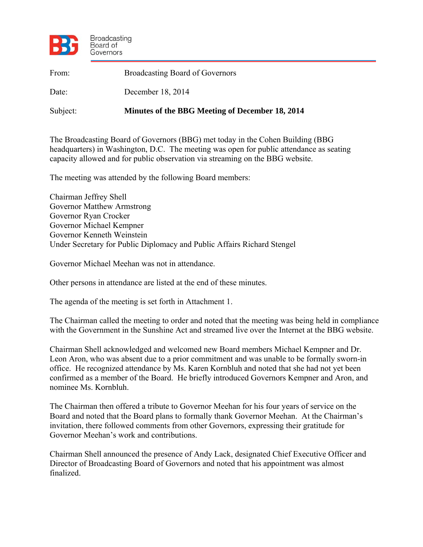

| From:    | <b>Broadcasting Board of Governors</b>          |
|----------|-------------------------------------------------|
| Date:    | December 18, 2014                               |
| Subject: | Minutes of the BBG Meeting of December 18, 2014 |

The Broadcasting Board of Governors (BBG) met today in the Cohen Building (BBG headquarters) in Washington, D.C. The meeting was open for public attendance as seating capacity allowed and for public observation via streaming on the BBG website.

The meeting was attended by the following Board members:

Chairman Jeffrey Shell Governor Matthew Armstrong Governor Ryan Crocker Governor Michael Kempner Governor Kenneth Weinstein Under Secretary for Public Diplomacy and Public Affairs Richard Stengel

Governor Michael Meehan was not in attendance.

Other persons in attendance are listed at the end of these minutes.

The agenda of the meeting is set forth in Attachment 1.

The Chairman called the meeting to order and noted that the meeting was being held in compliance with the Government in the Sunshine Act and streamed live over the Internet at the BBG website.

Chairman Shell acknowledged and welcomed new Board members Michael Kempner and Dr. Leon Aron, who was absent due to a prior commitment and was unable to be formally sworn-in office. He recognized attendance by Ms. Karen Kornbluh and noted that she had not yet been confirmed as a member of the Board. He briefly introduced Governors Kempner and Aron, and nominee Ms. Kornbluh.

The Chairman then offered a tribute to Governor Meehan for his four years of service on the Board and noted that the Board plans to formally thank Governor Meehan. At the Chairman's invitation, there followed comments from other Governors, expressing their gratitude for Governor Meehan's work and contributions.

Chairman Shell announced the presence of Andy Lack, designated Chief Executive Officer and Director of Broadcasting Board of Governors and noted that his appointment was almost finalized.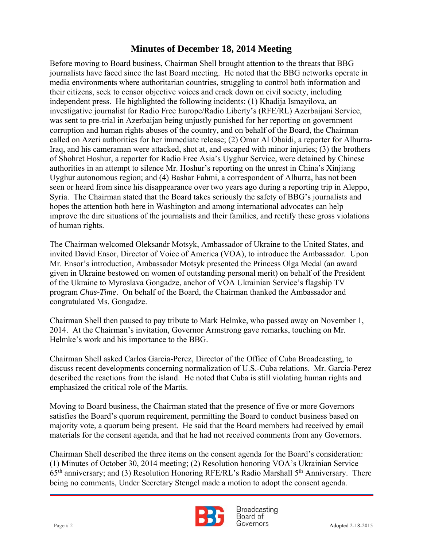independent press. He highlighted the following incidents: (1) Khadija Ismayilova, an Before moving to Board business, Chairman Shell brought attention to the threats that BBG journalists have faced since the last Board meeting. He noted that the BBG networks operate in media environments where authoritarian countries, struggling to control both information and their citizens, seek to censor objective voices and crack down on civil society, including investigative journalist for Radio Free Europe/Radio Liberty's (RFE/RL) Azerbaijani Service, was sent to pre-trial in Azerbaijan being unjustly punished for her reporting on government corruption and human rights abuses of the country, and on behalf of the Board, the Chairman called on Azeri authorities for her immediate release; (2) Omar Al Obaidi, a reporter for Alhurra-Iraq, and his cameraman were attacked, shot at, and escaped with minor injuries; (3) the brothers of Shohret Hoshur, a reporter for Radio Free Asia's Uyghur Service, were detained by Chinese authorities in an attempt to silence Mr. Hoshur's reporting on the unrest in China's Xinjiang Uyghur autonomous region; and (4) Bashar Fahmi, a correspondent of Alhurra, has not been seen or heard from since his disappearance over two years ago during a reporting trip in Aleppo, Syria. The Chairman stated that the Board takes seriously the safety of BBG's journalists and hopes the attention both here in Washington and among international advocates can help improve the dire situations of the journalists and their families, and rectify these gross violations of human rights.

The Chairman welcomed Oleksandr Motsyk, Ambassador of Ukraine to the United States, and invited David Ensor, Director of Voice of America (VOA), to introduce the Ambassador. Upon Mr. Ensor's introduction, Ambassador Motsyk presented the Princess Olga Medal (an award given in Ukraine bestowed on women of outstanding personal merit) on behalf of the President of the Ukraine to Myroslava Gongadze, anchor of VOA Ukrainian Service's flagship TV program *Chas-Time*. On behalf of the Board, the Chairman thanked the Ambassador and congratulated Ms. Gongadze.

Chairman Shell then paused to pay tribute to Mark Helmke, who passed away on November 1, 2014. At the Chairman's invitation, Governor Armstrong gave remarks, touching on Mr. Helmke's work and his importance to the BBG.

Chairman Shell asked Carlos Garcia-Perez, Director of the Office of Cuba Broadcasting, to discuss recent developments concerning normalization of U.S.-Cuba relations. Mr. Garcia-Perez described the reactions from the island. He noted that Cuba is still violating human rights and emphasized the critical role of the Martίs.

Moving to Board business, the Chairman stated that the presence of five or more Governors satisfies the Board's quorum requirement, permitting the Board to conduct business based on majority vote, a quorum being present. He said that the Board members had received by email materials for the consent agenda, and that he had not received comments from any Governors.

Chairman Shell described the three items on the consent agenda for the Board's consideration: (1) Minutes of October 30, 2014 meeting; (2) Resolution honoring VOA's Ukrainian Service  $65<sup>th</sup>$  anniversary; and (3) Resolution Honoring RFE/RL's Radio Marshall  $5<sup>th</sup>$  Anniversary. There being no comments, Under Secretary Stengel made a motion to adopt the consent agenda.



**Broadcasting** Board of  $Page # 2$  Adopted 2-18-2015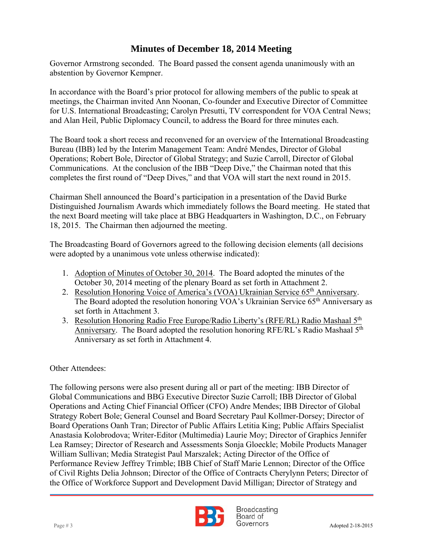Governor Armstrong seconded. The Board passed the consent agenda unanimously with an abstention by Governor Kempner.

 meetings, the Chairman invited Ann Noonan, Co-founder and Executive Director of Committee In accordance with the Board's prior protocol for allowing members of the public to speak at for U.S. International Broadcasting; Carolyn Presutti, TV correspondent for VOA Central News; and Alan Heil, Public Diplomacy Council, to address the Board for three minutes each.

The Board took a short recess and reconvened for an overview of the International Broadcasting Bureau (IBB) led by the Interim Management Team: André Mendes, Director of Global Operations; Robert Bole, Director of Global Strategy; and Suzie Carroll, Director of Global Communications. At the conclusion of the IBB "Deep Dive," the Chairman noted that this completes the first round of "Deep Dives," and that VOA will start the next round in 2015.

Chairman Shell announced the Board's participation in a presentation of the David Burke Distinguished Journalism Awards which immediately follows the Board meeting. He stated that the next Board meeting will take place at BBG Headquarters in Washington, D.C., on February 18, 2015. The Chairman then adjourned the meeting.

The Broadcasting Board of Governors agreed to the following decision elements (all decisions were adopted by a unanimous vote unless otherwise indicated):

- 1. Adoption of Minutes of October 30, 2014. The Board adopted the minutes of the October 30, 2014 meeting of the plenary Board as set forth in Attachment 2.
- 2. Resolution Honoring Voice of America's (VOA) Ukrainian Service 65<sup>th</sup> Anniversary. The Board adopted the resolution honoring VOA's Ukrainian Service 65<sup>th</sup> Anniversary as set forth in Attachment 3.
- 3. Resolution Honoring Radio Free Europe/Radio Liberty's (RFE/RL) Radio Mashaal 5<sup>th</sup> Anniversary. The Board adopted the resolution honoring RFE/RL's Radio Mashaal 5<sup>th</sup> Anniversary as set forth in Attachment 4.

#### Other Attendees:

The following persons were also present during all or part of the meeting: IBB Director of Global Communications and BBG Executive Director Suzie Carroll; IBB Director of Global Operations and Acting Chief Financial Officer (CFO) Andre Mendes; IBB Director of Global Strategy Robert Bole; General Counsel and Board Secretary Paul Kollmer-Dorsey; Director of Board Operations Oanh Tran; Director of Public Affairs Letitia King; Public Affairs Specialist Anastasia Kolobrodova; Writer-Editor (Multimedia) Laurie Moy; Director of Graphics Jennifer Lea Ramsey; Director of Research and Assessments Sonja Gloeckle; Mobile Products Manager William Sullivan; Media Strategist Paul Marszalek; Acting Director of the Office of Performance Review Jeffrey Trimble; IBB Chief of Staff Marie Lennon; Director of the Office of Civil Rights Delia Johnson; Director of the Office of Contracts Cherylynn Peters; Director of the Office of Workforce Support and Development David Milligan; Director of Strategy and



**Broadcasting** Board of Page # 3 Adopted 2-18-2015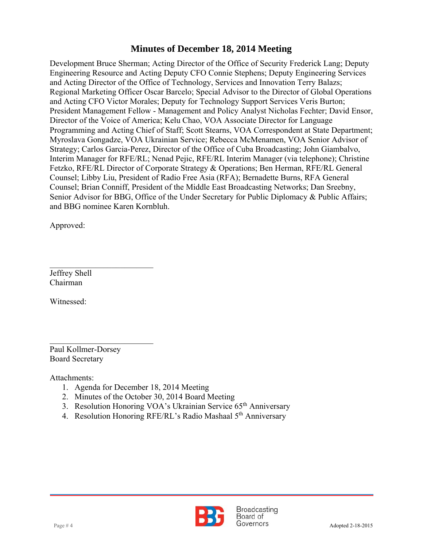and Acting CFO Victor Morales; Deputy for Technology Support Services Veris Burton; Development Bruce Sherman; Acting Director of the Office of Security Frederick Lang; Deputy Engineering Resource and Acting Deputy CFO Connie Stephens; Deputy Engineering Services and Acting Director of the Office of Technology, Services and Innovation Terry Balazs; Regional Marketing Officer Oscar Barcelo; Special Advisor to the Director of Global Operations President Management Fellow - Management and Policy Analyst Nicholas Fechter; David Ensor, Director of the Voice of America; Kelu Chao, VOA Associate Director for Language Programming and Acting Chief of Staff; Scott Stearns, VOA Correspondent at State Department; Myroslava Gongadze, VOA Ukrainian Service; Rebecca McMenamen, VOA Senior Advisor of Strategy; Carlos Garcia-Perez, Director of the Office of Cuba Broadcasting; John Giambalvo, Interim Manager for RFE/RL; Nenad Pejic, RFE/RL Interim Manager (via telephone); Christine Fetzko, RFE/RL Director of Corporate Strategy & Operations; Ben Herman, RFE/RL General Counsel; Libby Liu, President of Radio Free Asia (RFA); Bernadette Burns, RFA General Counsel; Brian Conniff, President of the Middle East Broadcasting Networks; Dan Sreebny, Senior Advisor for BBG, Office of the Under Secretary for Public Diplomacy & Public Affairs; and BBG nominee Karen Kornbluh.

Approved:

Jeffrey Shell Chairman

 $\mathcal{L}_\text{max}$  , where  $\mathcal{L}_\text{max}$  , we have the set of  $\mathcal{L}_\text{max}$ 

Witnessed:

 $\mathcal{L}_\text{max}$  , where  $\mathcal{L}_\text{max}$  , we have the set of  $\mathcal{L}_\text{max}$ Paul Kollmer-Dorsey Board Secretary

Attachments:

- 1. Agenda for December 18, 2014 Meeting
- 2. Minutes of the October 30, 2014 Board Meeting
- 3. Resolution Honoring VOA's Ukrainian Service 65<sup>th</sup> Anniversary
- 4. Resolution Honoring RFE/RL's Radio Mashaal 5<sup>th</sup> Anniversary

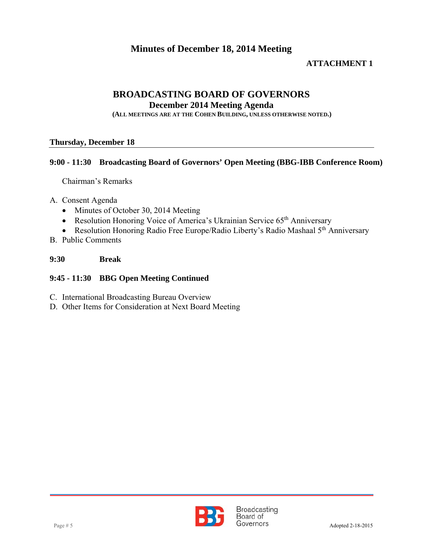#### **ATTACHMENT 1**

#### **BROADCASTING BOARD OF GOVERNORS**

**December 2014 Meeting Agenda** 

**(ALL MEETINGS ARE AT THE COHEN BUILDING, UNLESS OTHERWISE NOTED.)**

#### **Thursday, December 18**

#### **9:00 - 11:30 Broadcasting Board of Governors' Open Meeting (BBG-IBB Conference Room)**

Chairman's Remarks

- A. Consent Agenda
	- Minutes of October 30, 2014 Meeting
	- Resolution Honoring Voice of America's Ukrainian Service 65<sup>th</sup> Anniversary
	- Resolution Honoring Radio Free Europe/Radio Liberty's Radio Mashaal 5<sup>th</sup> Anniversary
- B. Public Comments

#### **9:30 Break**

#### **9:45 - 11:30 BBG Open Meeting Continued**

- C. International Broadcasting Bureau Overview
- D. Other Items for Consideration at Next Board Meeting

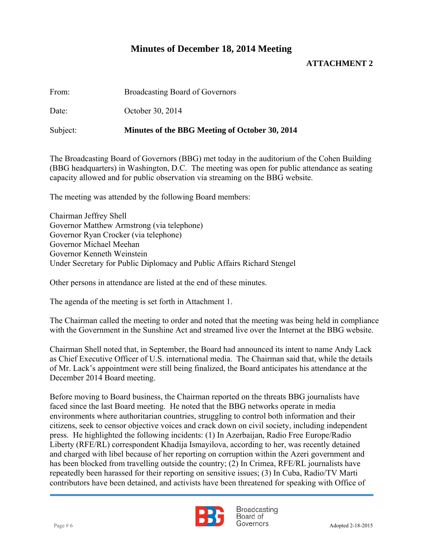#### **ATTACHMENT 2**

| From: | <b>Broadcasting Board of Governors</b> |
|-------|----------------------------------------|
|-------|----------------------------------------|

Date: October 30, 2014

Subject: **Minutes of the BBG Meeting of October 30, 2014**

The Broadcasting Board of Governors (BBG) met today in the auditorium of the Cohen Building (BBG headquarters) in Washington, D.C. The meeting was open for public attendance as seating capacity allowed and for public observation via streaming on the BBG website.

The meeting was attended by the following Board members:

Chairman Jeffrey Shell Governor Matthew Armstrong (via telephone) Governor Ryan Crocker (via telephone) Governor Michael Meehan Governor Kenneth Weinstein Under Secretary for Public Diplomacy and Public Affairs Richard Stengel

Other persons in attendance are listed at the end of these minutes.

The agenda of the meeting is set forth in Attachment 1.

The Chairman called the meeting to order and noted that the meeting was being held in compliance with the Government in the Sunshine Act and streamed live over the Internet at the BBG website.

Chairman Shell noted that, in September, the Board had announced its intent to name Andy Lack as Chief Executive Officer of U.S. international media. The Chairman said that, while the details of Mr. Lack's appointment were still being finalized, the Board anticipates his attendance at the December 2014 Board meeting.

Before moving to Board business, the Chairman reported on the threats BBG journalists have faced since the last Board meeting. He noted that the BBG networks operate in media environments where authoritarian countries, struggling to control both information and their citizens, seek to censor objective voices and crack down on civil society, including independent press. He highlighted the following incidents: (1) In Azerbaijan, Radio Free Europe/Radio Liberty (RFE/RL) correspondent Khadija Ismayilova, according to her, was recently detained and charged with libel because of her reporting on corruption within the Azeri government and has been blocked from travelling outside the country; (2) In Crimea, RFE/RL journalists have repeatedly been harassed for their reporting on sensitive issues; (3) In Cuba, Radio/TV Marti contributors have been detained, and activists have been threatened for speaking with Office of



**Broadcasting** Board of Page # 6 Adopted 2-18-2015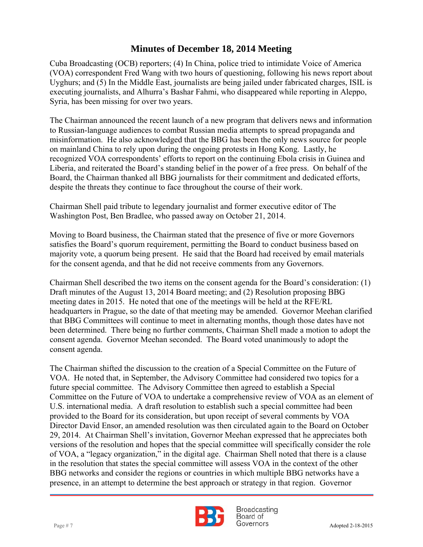Syria, has been missing for over two years. Cuba Broadcasting (OCB) reporters; (4) In China, police tried to intimidate Voice of America (VOA) correspondent Fred Wang with two hours of questioning, following his news report about Uyghurs; and (5) In the Middle East, journalists are being jailed under fabricated charges, ISIL is executing journalists, and Alhurra's Bashar Fahmi, who disappeared while reporting in Aleppo,

The Chairman announced the recent launch of a new program that delivers news and information to Russian-language audiences to combat Russian media attempts to spread propaganda and misinformation. He also acknowledged that the BBG has been the only news source for people on mainland China to rely upon during the ongoing protests in Hong Kong. Lastly, he recognized VOA correspondents' efforts to report on the continuing Ebola crisis in Guinea and Liberia, and reiterated the Board's standing belief in the power of a free press. On behalf of the Board, the Chairman thanked all BBG journalists for their commitment and dedicated efforts, despite the threats they continue to face throughout the course of their work.

Chairman Shell paid tribute to legendary journalist and former executive editor of The Washington Post, Ben Bradlee, who passed away on October 21, 2014.

Moving to Board business, the Chairman stated that the presence of five or more Governors satisfies the Board's quorum requirement, permitting the Board to conduct business based on majority vote, a quorum being present. He said that the Board had received by email materials for the consent agenda, and that he did not receive comments from any Governors.

Chairman Shell described the two items on the consent agenda for the Board's consideration: (1) Draft minutes of the August 13, 2014 Board meeting; and (2) Resolution proposing BBG meeting dates in 2015. He noted that one of the meetings will be held at the RFE/RL headquarters in Prague, so the date of that meeting may be amended. Governor Meehan clarified that BBG Committees will continue to meet in alternating months, though those dates have not been determined. There being no further comments, Chairman Shell made a motion to adopt the consent agenda. Governor Meehan seconded. The Board voted unanimously to adopt the consent agenda.

The Chairman shifted the discussion to the creation of a Special Committee on the Future of VOA. He noted that, in September, the Advisory Committee had considered two topics for a future special committee. The Advisory Committee then agreed to establish a Special Committee on the Future of VOA to undertake a comprehensive review of VOA as an element of U.S. international media. A draft resolution to establish such a special committee had been provided to the Board for its consideration, but upon receipt of several comments by VOA Director David Ensor, an amended resolution was then circulated again to the Board on October 29, 2014. At Chairman Shell's invitation, Governor Meehan expressed that he appreciates both versions of the resolution and hopes that the special committee will specifically consider the role of VOA, a "legacy organization," in the digital age. Chairman Shell noted that there is a clause in the resolution that states the special committee will assess VOA in the context of the other BBG networks and consider the regions or countries in which multiple BBG networks have a presence, in an attempt to determine the best approach or strategy in that region. Governor



**Broadcasting** Board of Page # 7 Adopted 2-18-2015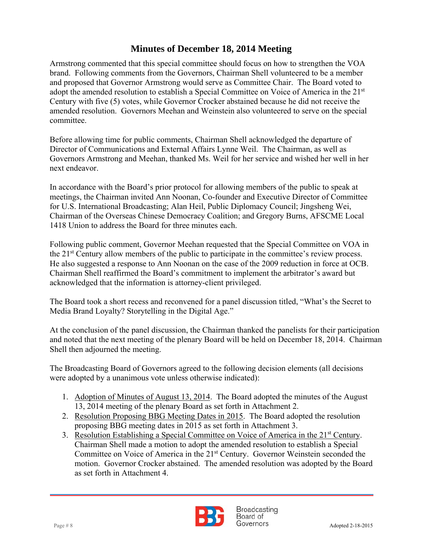Century with five (5) votes, while Governor Crocker abstained because he did not receive the Armstrong commented that this special committee should focus on how to strengthen the VOA brand. Following comments from the Governors, Chairman Shell volunteered to be a member and proposed that Governor Armstrong would serve as Committee Chair. The Board voted to adopt the amended resolution to establish a Special Committee on Voice of America in the 21<sup>st</sup> amended resolution. Governors Meehan and Weinstein also volunteered to serve on the special committee.

Before allowing time for public comments, Chairman Shell acknowledged the departure of Director of Communications and External Affairs Lynne Weil. The Chairman, as well as Governors Armstrong and Meehan, thanked Ms. Weil for her service and wished her well in her next endeavor.

In accordance with the Board's prior protocol for allowing members of the public to speak at meetings, the Chairman invited Ann Noonan, Co-founder and Executive Director of Committee for U.S. International Broadcasting; Alan Heil, Public Diplomacy Council; Jingsheng Wei, Chairman of the Overseas Chinese Democracy Coalition; and Gregory Burns, AFSCME Local 1418 Union to address the Board for three minutes each.

Following public comment, Governor Meehan requested that the Special Committee on VOA in the 21st Century allow members of the public to participate in the committee's review process. He also suggested a response to Ann Noonan on the case of the 2009 reduction in force at OCB. Chairman Shell reaffirmed the Board's commitment to implement the arbitrator's award but acknowledged that the information is attorney-client privileged.

The Board took a short recess and reconvened for a panel discussion titled, "What's the Secret to Media Brand Loyalty? Storytelling in the Digital Age."

At the conclusion of the panel discussion, the Chairman thanked the panelists for their participation and noted that the next meeting of the plenary Board will be held on December 18, 2014. Chairman Shell then adjourned the meeting.

The Broadcasting Board of Governors agreed to the following decision elements (all decisions were adopted by a unanimous vote unless otherwise indicated):

- 1. Adoption of Minutes of August 13, 2014. The Board adopted the minutes of the August 13, 2014 meeting of the plenary Board as set forth in Attachment 2.
- 2. Resolution Proposing BBG Meeting Dates in 2015. The Board adopted the resolution proposing BBG meeting dates in 2015 as set forth in Attachment 3.
- 3. Resolution Establishing a Special Committee on Voice of America in the 21<sup>st</sup> Century. Chairman Shell made a motion to adopt the amended resolution to establish a Special Committee on Voice of America in the 21st Century. Governor Weinstein seconded the motion. Governor Crocker abstained. The amended resolution was adopted by the Board as set forth in Attachment 4.

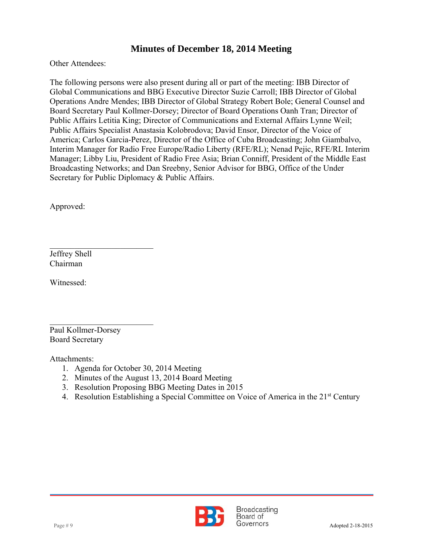Other Attendees:

 Operations Andre Mendes; IBB Director of Global Strategy Robert Bole; General Counsel and The following persons were also present during all or part of the meeting: IBB Director of Global Communications and BBG Executive Director Suzie Carroll; IBB Director of Global Board Secretary Paul Kollmer-Dorsey; Director of Board Operations Oanh Tran; Director of Public Affairs Letitia King; Director of Communications and External Affairs Lynne Weil; Public Affairs Specialist Anastasia Kolobrodova; David Ensor, Director of the Voice of America; Carlos Garcia-Perez, Director of the Office of Cuba Broadcasting; John Giambalvo, Interim Manager for Radio Free Europe/Radio Liberty (RFE/RL); Nenad Pejic, RFE/RL Interim Manager; Libby Liu, President of Radio Free Asia; Brian Conniff, President of the Middle East Broadcasting Networks; and Dan Sreebny, Senior Advisor for BBG, Office of the Under Secretary for Public Diplomacy & Public Affairs.

Approved:

Jeffrey Shell Chairman

Witnessed:

 $\mathcal{L}_\text{max}$  , where  $\mathcal{L}_\text{max}$  , we have the set of  $\mathcal{L}_\text{max}$ Paul Kollmer-Dorsey Board Secretary

 $\mathcal{L}_\text{max}$  , where  $\mathcal{L}_\text{max}$  , we have the set of  $\mathcal{L}_\text{max}$ 

Attachments:

- 1. Agenda for October 30, 2014 Meeting
- 2. Minutes of the August 13, 2014 Board Meeting
- 3. Resolution Proposing BBG Meeting Dates in 2015
- 4. Resolution Establishing a Special Committee on Voice of America in the 21<sup>st</sup> Century

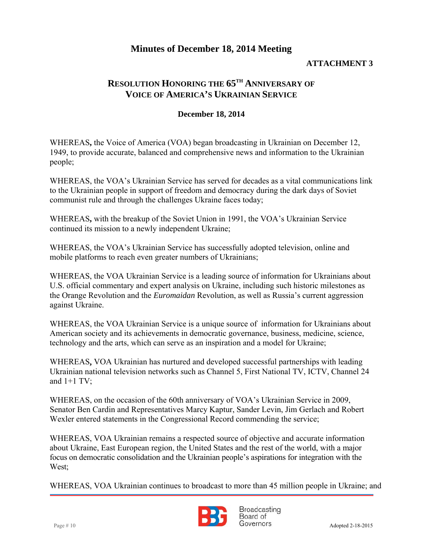#### **ATTACHMENT 3**

### **RESOLUTION HONORING THE 65TH ANNIVERSARY OF VOICE OF AMERICA'S UKRAINIAN SERVICE**

#### **December 18, 2014**

WHEREAS**,** the Voice of America (VOA) began broadcasting in Ukrainian on December 12, 1949, to provide accurate, balanced and comprehensive news and information to the Ukrainian people;

WHEREAS, the VOA's Ukrainian Service has served for decades as a vital communications link to the Ukrainian people in support of freedom and democracy during the dark days of Soviet communist rule and through the challenges Ukraine faces today;

WHEREAS**,** with the breakup of the Soviet Union in 1991, the VOA's Ukrainian Service continued its mission to a newly independent Ukraine;

WHEREAS, the VOA's Ukrainian Service has successfully adopted television, online and mobile platforms to reach even greater numbers of Ukrainians;

WHEREAS, the VOA Ukrainian Service is a leading source of information for Ukrainians about U.S. official commentary and expert analysis on Ukraine, including such historic milestones as the Orange Revolution and the *Euromaidan* Revolution, as well as Russia's current aggression against Ukraine.

WHEREAS, the VOA Ukrainian Service is a unique source of information for Ukrainians about American society and its achievements in democratic governance, business, medicine, science, technology and the arts, which can serve as an inspiration and a model for Ukraine;

WHEREAS**,** VOA Ukrainian has nurtured and developed successful partnerships with leading Ukrainian national television networks such as Channel 5, First National TV, ICTV, Channel 24 and  $1+1$  TV:

WHEREAS, on the occasion of the 60th anniversary of VOA's Ukrainian Service in 2009, Senator Ben Cardin and Representatives Marcy Kaptur, Sander Levin, Jim Gerlach and Robert Wexler entered statements in the Congressional Record commending the service;

WHEREAS, VOA Ukrainian remains a respected source of objective and accurate information about Ukraine, East European region, the United States and the rest of the world, with a major focus on democratic consolidation and the Ukrainian people's aspirations for integration with the West:

WHEREAS, VOA Ukrainian continues to broadcast to more than 45 million people in Ukraine; and

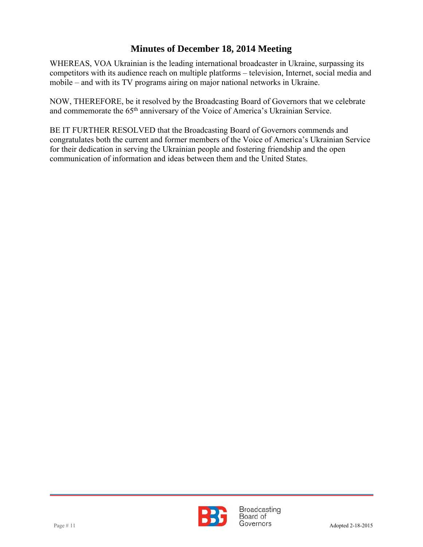WHEREAS, VOA Ukrainian is the leading international broadcaster in Ukraine, surpassing its competitors with its audience reach on multiple platforms – television, Internet, social media and mobile – and with its TV programs airing on major national networks in Ukraine.

 NOW, THEREFORE, be it resolved by the Broadcasting Board of Governors that we celebrate and commemorate the 65th anniversary of the Voice of America's Ukrainian Service.

BE IT FURTHER RESOLVED that the Broadcasting Board of Governors commends and congratulates both the current and former members of the Voice of America's Ukrainian Service for their dedication in serving the Ukrainian people and fostering friendship and the open communication of information and ideas between them and the United States.